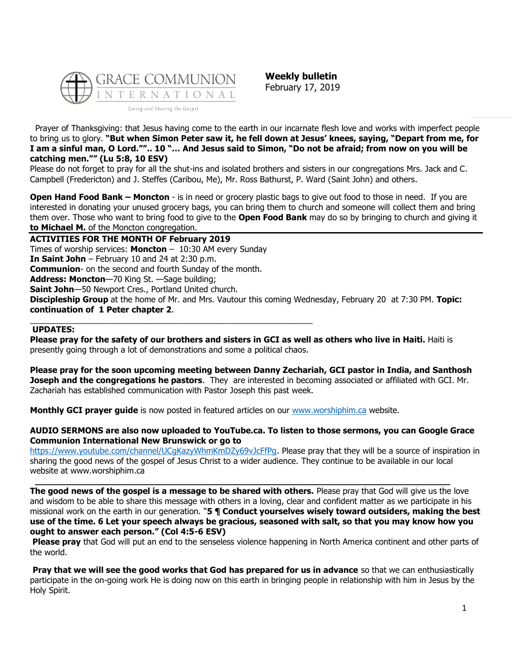

**Weekly bulletin** February 17, 2019

Prayer of Thanksgiving: that Jesus having come to the earth in our incarnate flesh love and works with imperfect people to bring us to glory. **"But when Simon Peter saw it, he fell down at Jesus' knees, saying, "Depart from me, for I am a sinful man, O Lord."".. 10 "… And Jesus said to Simon, "Do not be afraid; from now on you will be catching men."" (Lu 5:8, 10 ESV)**

Please do not forget to pray for all the shut-ins and isolated brothers and sisters in our congregations Mrs. Jack and C. Campbell (Fredericton) and J. Steffes (Caribou, Me), Mr. Ross Bathurst, P. Ward (Saint John) and others.

**Open Hand Food Bank – Moncton** - is in need or grocery plastic bags to give out food to those in need. If you are interested in donating your unused grocery bags, you can bring them to church and someone will collect them and bring them over. Those who want to bring food to give to the **Open Food Bank** may do so by bringing to church and giving it **to Michael M.** of the Moncton congregation.

**ACTIVITIES FOR THE MONTH OF February 2019** Times of worship services: **Moncton** – 10:30 AM every Sunday **In Saint John** – February 10 and 24 at 2:30 p.m. **Communion**- on the second and fourth Sunday of the month. **Address: Moncton**—70 King St. —Sage building; **Saint John**—50 Newport Cres., Portland United church. **Discipleship Group** at the home of Mr. and Mrs. Vautour this coming Wednesday, February 20 at 7:30 PM. **Topic: continuation of 1 Peter chapter 2**. \_\_\_\_\_\_\_\_\_\_\_\_\_\_\_\_\_\_\_\_\_\_\_\_\_\_\_\_\_\_\_\_\_\_\_\_\_\_\_\_\_\_\_\_\_\_\_\_\_\_\_\_\_\_\_\_\_\_\_\_\_\_

#### **UPDATES:**

**Please pray for the safety of our brothers and sisters in GCI as well as others who live in Haiti.** Haiti is presently going through a lot of demonstrations and some a political chaos.

**Please pray for the soon upcoming meeting between Danny Zechariah, GCI pastor in India, and Santhosh Joseph and the congregations he pastors**. They are interested in becoming associated or affiliated with GCI. Mr. Zachariah has established communication with Pastor Joseph this past week.

**Monthly GCI prayer guide** is now posted in featured articles on our [www.worshiphim.ca](http://www.worshiphim.ca/) website.

#### **AUDIO SERMONS are also now uploaded to YouTube.ca. To listen to those sermons, you can Google Grace Communion International New Brunswick or go to**

https://www.youtube.com/channel/UCqKazyWhmKmDZy69vJcFfPq. Please pray that they will be a source of inspiration in sharing the good news of the gospel of Jesus Christ to a wider audience. They continue to be available in our local website at www.worshiphim.ca

**\_\_\_\_\_\_\_\_\_\_\_\_\_\_\_\_\_\_\_\_\_\_\_\_\_\_\_\_\_\_\_\_\_\_\_\_\_\_\_\_\_\_\_\_\_\_\_\_\_\_\_\_\_\_\_\_\_\_\_\_\_\_\_\_\_\_\_\_\_\_\_\_\_\_\_\_\_\_ The good news of the gospel is a message to be shared with others.** Please pray that God will give us the love and wisdom to be able to share this message with others in a loving, clear and confident matter as we participate in his missional work on the earth in our generation. "**5 ¶ Conduct yourselves wisely toward outsiders, making the best use of the time. 6 Let your speech always be gracious, seasoned with salt, so that you may know how you ought to answer each person." (Col 4:5-6 ESV)**

**Please pray** that God will put an end to the senseless violence happening in North America continent and other parts of the world.

**Pray that we will see the good works that God has prepared for us in advance** so that we can enthusiastically participate in the on-going work He is doing now on this earth in bringing people in relationship with him in Jesus by the Holy Spirit.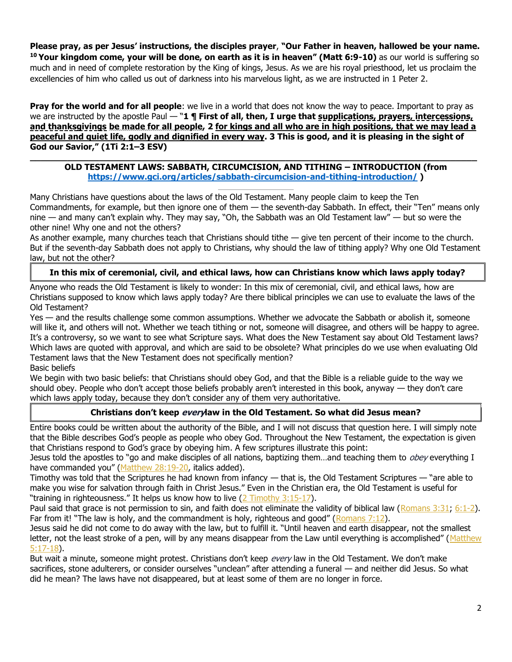**Please pray, as per Jesus' instructions, the disciples prayer**, **"Our Father in heaven, hallowed be your name. <sup>10</sup> Your kingdom come, your will be done, on earth as it is in heaven" (Matt 6:9-10)** as our world is suffering so much and in need of complete restoration by the King of kings, Jesus. As we are his royal priesthood, let us proclaim the excellencies of him who called us out of darkness into his marvelous light, as we are instructed in 1 Peter 2.

**Pray for the world and for all people**: we live in a world that does not know the way to peace. Important to pray as we are instructed by the apostle Paul — "**1 ¶ First of all, then, I urge that supplications, prayers, intercessions, and thanksgivings be made for all people, 2 for kings and all who are in high positions, that we may lead a peaceful and quiet life, godly and dignified in every way. 3 This is good, and it is pleasing in the sight of God our Savior," (1Ti 2:1–3 ESV)**

#### **\_\_\_\_\_\_\_\_\_\_\_\_\_\_\_\_\_\_\_\_\_\_\_\_\_\_\_\_\_\_\_\_\_\_\_\_\_\_\_\_\_\_\_\_\_\_\_\_\_\_\_\_\_\_\_\_\_\_\_\_\_\_\_\_\_\_\_\_\_\_\_\_\_\_\_\_\_\_\_\_\_\_\_\_ OLD TESTAMENT LAWS: SABBATH, CIRCUMCISION, AND TITHING – INTRODUCTION (from <https://www.gci.org/articles/sabbath-circumcision-and-tithing-introduction/> )**

Many Christians have questions about the laws of the Old Testament. Many people claim to keep the Ten Commandments, for example, but then ignore one of them — the seventh-day Sabbath. In effect, their "Ten" means only nine — and many can't explain why. They may say, "Oh, the Sabbath was an Old Testament law" — but so were the other nine! Why one and not the others?

As another example, many churches teach that Christians should tithe — give ten percent of their income to the church. But if the seventh-day Sabbath does not apply to Christians, why should the law of tithing apply? Why one Old Testament law, but not the other?

# **In this mix of ceremonial, civil, and ethical laws, how can Christians know which laws apply today?**

Anyone who reads the Old Testament is likely to wonder: In this mix of ceremonial, civil, and ethical laws, how are Christians supposed to know which laws apply today? Are there biblical principles we can use to evaluate the laws of the Old Testament?

Yes — and the results challenge some common assumptions. Whether we advocate the Sabbath or abolish it, someone will like it, and others will not. Whether we teach tithing or not, someone will disagree, and others will be happy to agree. It's a controversy, so we want to see what Scripture says. What does the New Testament say about Old Testament laws? Which laws are quoted with approval, and which are said to be obsolete? What principles do we use when evaluating Old Testament laws that the New Testament does not specifically mention?

### Basic beliefs

We begin with two basic beliefs: that Christians should obey God, and that the Bible is a reliable guide to the way we should obey. People who don't accept those beliefs probably aren't interested in this book, anyway — they don't care which laws apply today, because they don't consider any of them very authoritative.

### **Christians don't keep everylaw in the Old Testament. So what did Jesus mean?**

Entire books could be written about the authority of the Bible, and I will not discuss that question here. I will simply note that the Bible describes God's people as people who obey God. Throughout the New Testament, the expectation is given that Christians respond to God's grace by obeying him. A few scriptures illustrate this point:

Jesus told the apostles to "go and make disciples of all nations, baptizing them...and teaching them to *obey* everything I have commanded you" ([Matthew 28:19-20,](https://biblia.com/bible/niv/Matt%2028.19-20) italics added).

Timothy was told that the Scriptures he had known from infancy — that is, the Old Testament Scriptures — "are able to make you wise for salvation through faith in Christ Jesus." Even in the Christian era, the Old Testament is useful for "training in righteousness." It helps us know how to live ([2 Timothy 3:15-17\)](https://biblia.com/bible/niv/2%20Tim%203.15-17).

Paul said that grace is not permission to sin, and faith does not eliminate the validity of biblical law [\(Romans 3:31;](https://biblia.com/bible/niv/Rom%203.31) [6:1-2\)](https://biblia.com/bible/niv/Romans%206.1-2). Far from it! "The law is holy, and the commandment is holy, righteous and good" ([Romans 7:12\)](https://biblia.com/bible/niv/Rom%207.12).

Jesus said he did not come to do away with the law, but to fulfill it. "Until heaven and earth disappear, not the smallest letter, not the least stroke of a pen, will by any means disappear from the Law until everything is accomplished" (Matthew [5:17-18\)](https://biblia.com/bible/niv/Matt%205.17-18).

But wait a minute, someone might protest. Christians don't keep every law in the Old Testament. We don't make sacrifices, stone adulterers, or consider ourselves "unclean" after attending a funeral — and neither did Jesus. So what did he mean? The laws have not disappeared, but at least some of them are no longer in force.